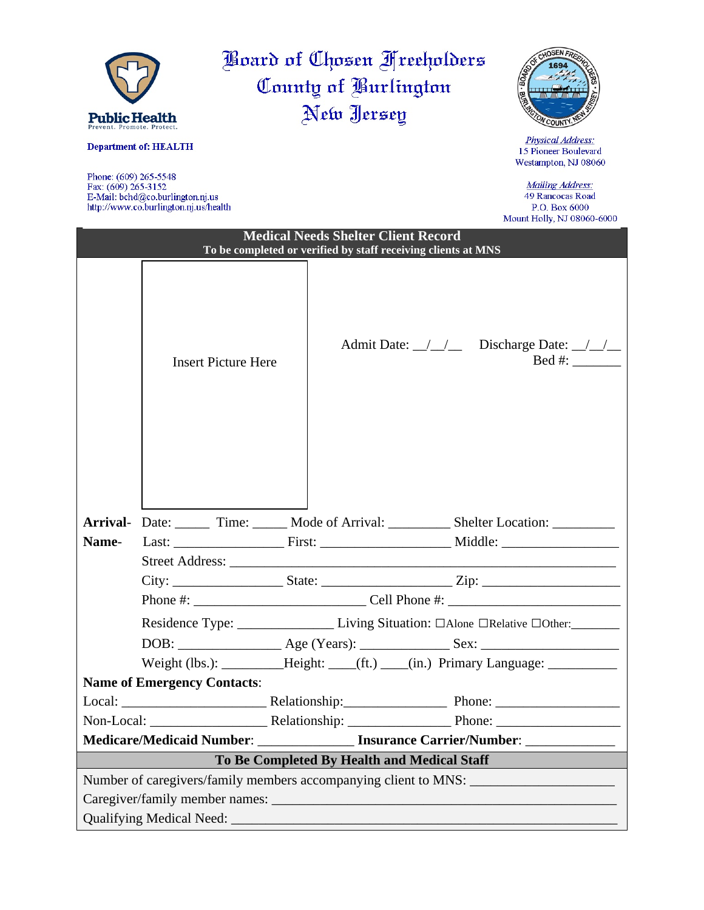

Phone: (609) 265-5548<br>Fax: (609) 265-3152<br>E-Mail: bchd@co.burlington.nj.us http://www.co.burlington.nj.us/health

Mailing Address: 49 Rancocas Road P.O. Box 6000<br>Mount Holly, NJ 08060-6000

|                                                                                                             |                                    |  |                                                                                       |  | <b>IMOUTH TIONS, TAP OBOOD-0000</b>                                                                 |  |  |
|-------------------------------------------------------------------------------------------------------------|------------------------------------|--|---------------------------------------------------------------------------------------|--|-----------------------------------------------------------------------------------------------------|--|--|
| <b>Medical Needs Shelter Client Record</b><br>To be completed or verified by staff receiving clients at MNS |                                    |  |                                                                                       |  |                                                                                                     |  |  |
|                                                                                                             | <b>Insert Picture Here</b>         |  |                                                                                       |  | Admit Date: $\angle$ / $\angle$ Discharge Date: $\angle$ /<br>Bed #: $\_\_\_\_\_\_\_\_\_\_\_\_\_\_$ |  |  |
|                                                                                                             |                                    |  |                                                                                       |  | Arrival- Date: _____ Time: _____ Mode of Arrival: _________ Shelter Location: _______               |  |  |
| Name-                                                                                                       |                                    |  |                                                                                       |  |                                                                                                     |  |  |
|                                                                                                             |                                    |  |                                                                                       |  |                                                                                                     |  |  |
|                                                                                                             |                                    |  |                                                                                       |  |                                                                                                     |  |  |
|                                                                                                             |                                    |  |                                                                                       |  |                                                                                                     |  |  |
|                                                                                                             |                                    |  | Residence Type: __________________Living Situation: □Alone □Relative □Other: ________ |  |                                                                                                     |  |  |
|                                                                                                             |                                    |  |                                                                                       |  |                                                                                                     |  |  |
|                                                                                                             |                                    |  |                                                                                       |  | Weight (lbs.): ___________Height: ____(ft.) ___(in.) Primary Language: __________                   |  |  |
|                                                                                                             | <b>Name of Emergency Contacts:</b> |  |                                                                                       |  |                                                                                                     |  |  |
|                                                                                                             |                                    |  |                                                                                       |  |                                                                                                     |  |  |
|                                                                                                             |                                    |  |                                                                                       |  |                                                                                                     |  |  |
| Medicare/Medicaid Number: _______________ Insurance Carrier/Number: ____________                            |                                    |  |                                                                                       |  |                                                                                                     |  |  |
| To Be Completed By Health and Medical Staff                                                                 |                                    |  |                                                                                       |  |                                                                                                     |  |  |
| Number of caregivers/family members accompanying client to MNS:                                             |                                    |  |                                                                                       |  |                                                                                                     |  |  |
|                                                                                                             |                                    |  |                                                                                       |  |                                                                                                     |  |  |
|                                                                                                             |                                    |  |                                                                                       |  |                                                                                                     |  |  |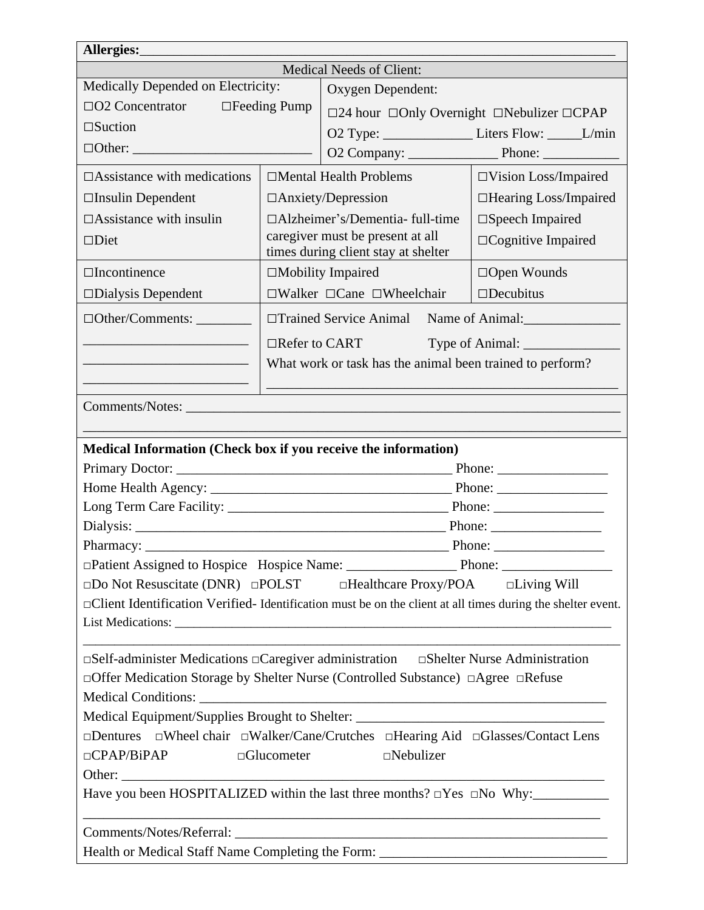| Allergies:                                                                                                                                                                                                                                    |                                  |                                                                               |                                                           |  |  |  |  |
|-----------------------------------------------------------------------------------------------------------------------------------------------------------------------------------------------------------------------------------------------|----------------------------------|-------------------------------------------------------------------------------|-----------------------------------------------------------|--|--|--|--|
| Medical Needs of Client:                                                                                                                                                                                                                      |                                  |                                                                               |                                                           |  |  |  |  |
| Medically Depended on Electricity:                                                                                                                                                                                                            |                                  | Oxygen Dependent:                                                             |                                                           |  |  |  |  |
| $\Box$ O2 Concentrator                                                                                                                                                                                                                        | $\Box$ Feeding Pump              | $\square$ 24 hour $\square$ Only Overnight $\square$ Nebulizer $\square$ CPAP |                                                           |  |  |  |  |
| $\square$ Suction                                                                                                                                                                                                                             |                                  | O2 Type: _________________________Liters Flow: _________L/min                 |                                                           |  |  |  |  |
|                                                                                                                                                                                                                                               |                                  |                                                                               | O2 Company: Phone: Phone:                                 |  |  |  |  |
| $\Box$ Assistance with medications                                                                                                                                                                                                            |                                  | $\Box$ Mental Health Problems                                                 | $\Box$ Vision Loss/Impaired                               |  |  |  |  |
| $\Box$ Insulin Dependent                                                                                                                                                                                                                      |                                  | $\Box$ Anxiety/Depression                                                     | $\Box$ Hearing Loss/Impaired                              |  |  |  |  |
| $\Box$ Assistance with insulin                                                                                                                                                                                                                | □Alzheimer's/Dementia- full-time |                                                                               | $\square$ Speech Impaired                                 |  |  |  |  |
| $\square$ Diet                                                                                                                                                                                                                                |                                  | caregiver must be present at all<br>times during client stay at shelter       | $\Box$ Cognitive Impaired                                 |  |  |  |  |
| $\Box$ Incontinence                                                                                                                                                                                                                           | $\Box$ Mobility Impaired         |                                                                               | $\Box$ Open Wounds                                        |  |  |  |  |
| $\square$ Dialysis Dependent                                                                                                                                                                                                                  |                                  | $\Box$ Walker $\Box$ Cane $\Box$ Wheelchair                                   | $\square$ Decubitus                                       |  |  |  |  |
|                                                                                                                                                                                                                                               |                                  |                                                                               |                                                           |  |  |  |  |
| the control of the control of the control of the control of the control of                                                                                                                                                                    |                                  | $\Box$ Refer to CART                                                          | Type of Animal:                                           |  |  |  |  |
| <u> 1989 - Johann Barbara, martin amerikan basar dan berasal dalam basa dalam basar dalam basar dalam basa dalam</u><br><u> 1989 - Johann Barbara, martin amerikan basar dan berasal dalam basar dalam basar dalam basar dalam basar dala</u> |                                  | What work or task has the animal been trained to perform?                     |                                                           |  |  |  |  |
|                                                                                                                                                                                                                                               |                                  |                                                                               |                                                           |  |  |  |  |
| Comments/Notes:                                                                                                                                                                                                                               |                                  |                                                                               |                                                           |  |  |  |  |
|                                                                                                                                                                                                                                               |                                  |                                                                               |                                                           |  |  |  |  |
| Medical Information (Check box if you receive the information)                                                                                                                                                                                |                                  |                                                                               | Phone: $\frac{1}{\sqrt{1-\frac{1}{2}} \cdot \frac{1}{2}}$ |  |  |  |  |
|                                                                                                                                                                                                                                               |                                  |                                                                               |                                                           |  |  |  |  |
|                                                                                                                                                                                                                                               |                                  |                                                                               |                                                           |  |  |  |  |
|                                                                                                                                                                                                                                               |                                  |                                                                               |                                                           |  |  |  |  |
|                                                                                                                                                                                                                                               |                                  |                                                                               | Phone: $\qquad \qquad$                                    |  |  |  |  |
|                                                                                                                                                                                                                                               |                                  |                                                                               |                                                           |  |  |  |  |
| $\square$ Do Not Resuscitate (DNR) $\square$ POLST $\square$ Healthcare Proxy/POA $\square$ Living Will                                                                                                                                       |                                  |                                                                               |                                                           |  |  |  |  |
|                                                                                                                                                                                                                                               |                                  |                                                                               |                                                           |  |  |  |  |
| □ Client Identification Verified- Identification must be on the client at all times during the shelter event.<br>List Medications:                                                                                                            |                                  |                                                                               |                                                           |  |  |  |  |
|                                                                                                                                                                                                                                               |                                  |                                                                               |                                                           |  |  |  |  |
| $\square$ Self-administer Medications $\square$ Caregiver administration $\square$ Shelter Nurse Administration                                                                                                                               |                                  |                                                                               |                                                           |  |  |  |  |
| □ Offer Medication Storage by Shelter Nurse (Controlled Substance) □ Agree □ Refuse                                                                                                                                                           |                                  |                                                                               |                                                           |  |  |  |  |
|                                                                                                                                                                                                                                               |                                  |                                                                               |                                                           |  |  |  |  |
| Medical Equipment/Supplies Brought to Shelter: __________________________________                                                                                                                                                             |                                  |                                                                               |                                                           |  |  |  |  |
| $\Box$ Dentures $\Box$ Wheel chair $\Box$ Walker/Cane/Crutches $\Box$ Hearing Aid $\Box$ Glasses/Contact Lens                                                                                                                                 |                                  |                                                                               |                                                           |  |  |  |  |
| $\Box$ CPAP/BiPAP<br>$\Box$ Glucometer<br>$\square$ Nebulizer                                                                                                                                                                                 |                                  |                                                                               |                                                           |  |  |  |  |
|                                                                                                                                                                                                                                               |                                  |                                                                               |                                                           |  |  |  |  |
| <u> 1989 - Johann Stoff, amerikansk politiker (d. 1989)</u>                                                                                                                                                                                   |                                  |                                                                               |                                                           |  |  |  |  |
|                                                                                                                                                                                                                                               |                                  |                                                                               |                                                           |  |  |  |  |
| Health or Medical Staff Name Completing the Form: _______________________________                                                                                                                                                             |                                  |                                                                               |                                                           |  |  |  |  |